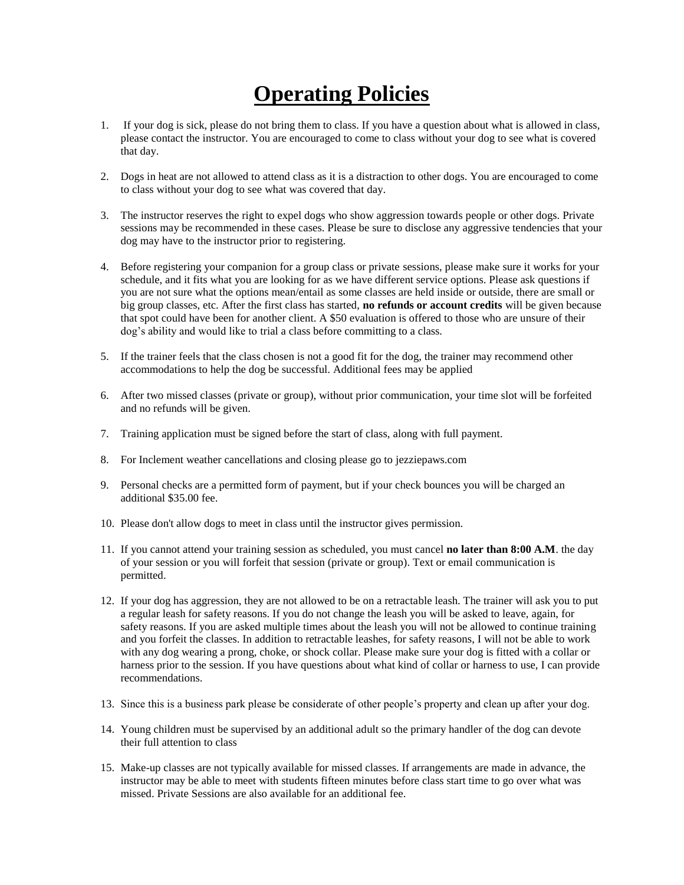## **Operating Policies**

- 1. If your dog is sick, please do not bring them to class. If you have a question about what is allowed in class, please contact the instructor. You are encouraged to come to class without your dog to see what is covered that day.
- 2. Dogs in heat are not allowed to attend class as it is a distraction to other dogs. You are encouraged to come to class without your dog to see what was covered that day.
- 3. The instructor reserves the right to expel dogs who show aggression towards people or other dogs. Private sessions may be recommended in these cases. Please be sure to disclose any aggressive tendencies that your dog may have to the instructor prior to registering.
- 4. Before registering your companion for a group class or private sessions, please make sure it works for your schedule, and it fits what you are looking for as we have different service options. Please ask questions if you are not sure what the options mean/entail as some classes are held inside or outside, there are small or big group classes, etc. After the first class has started, **no refunds or account credits** will be given because that spot could have been for another client. A \$50 evaluation is offered to those who are unsure of their dog's ability and would like to trial a class before committing to a class.
- 5. If the trainer feels that the class chosen is not a good fit for the dog, the trainer may recommend other accommodations to help the dog be successful. Additional fees may be applied
- 6. After two missed classes (private or group), without prior communication, your time slot will be forfeited and no refunds will be given.
- 7. Training application must be signed before the start of class, along with full payment.
- 8. For Inclement weather cancellations and closing please go to jezziepaws.com
- 9. Personal checks are a permitted form of payment, but if your check bounces you will be charged an additional \$35.00 fee.
- 10. Please don't allow dogs to meet in class until the instructor gives permission.
- 11. If you cannot attend your training session as scheduled, you must cancel **no later than 8:00 A.M**. the day of your session or you will forfeit that session (private or group). Text or email communication is permitted.
- 12. If your dog has aggression, they are not allowed to be on a retractable leash. The trainer will ask you to put a regular leash for safety reasons. If you do not change the leash you will be asked to leave, again, for safety reasons. If you are asked multiple times about the leash you will not be allowed to continue training and you forfeit the classes. In addition to retractable leashes, for safety reasons, I will not be able to work with any dog wearing a prong, choke, or shock collar. Please make sure your dog is fitted with a collar or harness prior to the session. If you have questions about what kind of collar or harness to use, I can provide recommendations.
- 13. Since this is a business park please be considerate of other people's property and clean up after your dog.
- 14. Young children must be supervised by an additional adult so the primary handler of the dog can devote their full attention to class
- 15. Make-up classes are not typically available for missed classes. If arrangements are made in advance, the instructor may be able to meet with students fifteen minutes before class start time to go over what was missed. Private Sessions are also available for an additional fee.